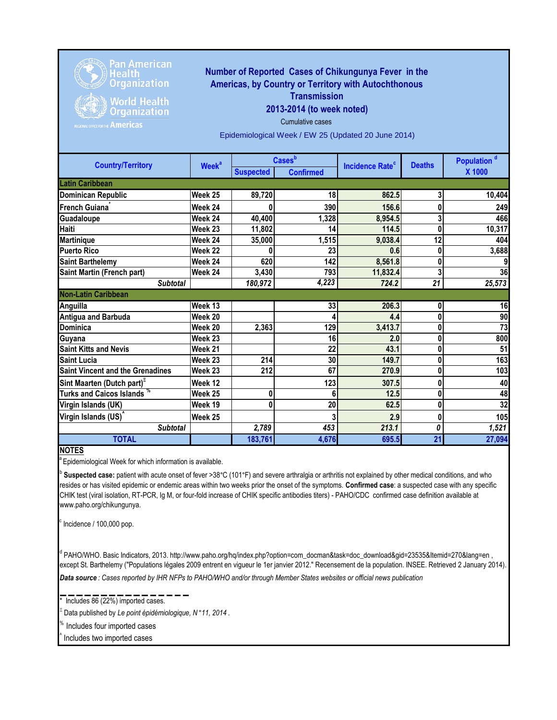

## **Number of Reported Cases of Chikungunya Fever in the Americas, by Country or Territory with Autochthonous Transmission**

**2013-2014 (to week noted)**

Cumulative cases

**World Health Organization** 

Epidemiological Week / EW 25 (Updated 20 June 2014)

| <b>Country/Territory</b>                | <b>Week<sup>a</sup></b> | <b>Cases</b> b   |                  |                                   | <b>Deaths</b> | Population <sup>d</sup> |
|-----------------------------------------|-------------------------|------------------|------------------|-----------------------------------|---------------|-------------------------|
|                                         |                         | <b>Suspected</b> | <b>Confirmed</b> | <b>Incidence Rate<sup>c</sup></b> |               | X 1000                  |
| <b>Latin Caribbean</b>                  |                         |                  |                  |                                   |               |                         |
| <b>Dominican Republic</b>               | Week 25                 | 89,720           | 18               | 862.5                             | 3             | 10,404                  |
| French Guiana <sup>®</sup>              | Week 24                 |                  | 390              | 156.6                             |               | 249                     |
| Guadaloupe                              | Week 24                 | 40,400           | 1,328            | 8,954.5                           | 3             | 466                     |
| Haiti                                   | Week 23                 | 11,802           | 14               | 114.5                             | 0             | 10,317                  |
| <b>Martinique</b>                       | Week 24                 | 35,000           | 1,515            | 9,038.4                           | 12            | 404                     |
| <b>Puerto Rico</b>                      | Week 22                 |                  | 23               | 0.6                               | 0             | 3,688                   |
| <b>Saint Barthelemy</b>                 | Week 24                 | 620              | 142              | 8,561.8                           | 0             | 9                       |
| Saint Martin (French part)              | Week 24                 | 3,430            | 793              | 11,832.4                          | 3             | 36                      |
| <b>Subtotal</b>                         |                         | 180,972          | 4,223            | 724.2                             | 21            | 25,573                  |
| <b>Non-Latin Caribbean</b>              |                         |                  |                  |                                   |               |                         |
| Anguilla                                | Week 13                 |                  | 33               | 206.3                             | 0             | 16                      |
| <b>Antigua and Barbuda</b>              | Week 20                 |                  |                  | 4.4                               | 0             | 90                      |
| <b>Dominica</b>                         | Week 20                 | 2,363            | 129              | 3,413.7                           | 0             | 73                      |
| Guyana                                  | Week 23                 |                  | 16               | 2.0                               | 0             | 800                     |
| <b>Saint Kitts and Nevis</b>            | Week 21                 |                  | 22               | 43.1                              | 0             | 51                      |
| <b>Saint Lucia</b>                      | Week 23                 | 214              | 30               | 149.7                             | 0             | 163                     |
| <b>Saint Vincent and the Grenadines</b> | Week 23                 | 212              | 67               | 270.9                             | 0             | 103                     |
| Sint Maarten (Dutch part) <sup>-</sup>  | Week 12                 |                  | 123              | 307.5                             | 0             | 40                      |
| Turks and Caicos Islands »              | Week 25                 | 0                | 6                | 12.5                              | 0             | 48                      |
| Virgin Islands (UK)                     | Week 19                 | 0                | 20               | 62.5                              | 0             | 32                      |
| Virgin Islands (US) <sup>^</sup>        | Week 25                 |                  |                  | 2.9                               | 0             | 105                     |
| <b>Subtotal</b>                         |                         | 2,789            | 453              | 213.1                             | 0             | 1,521                   |
| <b>TOTAL</b>                            |                         | 183,761          | 4,676            | 695.5                             | 21            | 27,094                  |

## **NOTES**

<sup>a</sup> Epidemiological Week for which information is available.

<sup>b</sup> Suspected case: patient with acute onset of fever >38°C (101°F) and severe arthralgia or arthritis not explained by other medical conditions, and who resides or has visited epidemic or endemic areas within two weeks prior the onset of the symptoms. **Confirmed case**: a suspected case with any specific CHIK test (viral isolation, RT-PCR, Ig M, or four-fold increase of CHIK specific antibodies titers) - PAHO/CDC confirmed case definition available at www.paho.org/chikungunya.

 $\degree$  Incidence / 100,000 pop.

<sup>d</sup> PAHO/WHO. Basic Indicators, 2013. http://www.paho.org/hq/index.php?option=com\_docman&task=doc\_download&gid=23535&Itemid=270&lang=en, except St. Barthelemy ("Populations légales 2009 entrent en vigueur le 1er janvier 2012." Recensement de la population. INSEE. Retrieved 2 January 2014).

*Data source : Cases reported by IHR NFPs to PAHO/WHO and/or through Member States websites or official news publication* 

 $Includes 86 (22%) imported cases.$ 

Ξ Data published by *Le point épidémiologique, N* °*11, 2014* .

% Includes four imported cases ^ Includes two imported cases